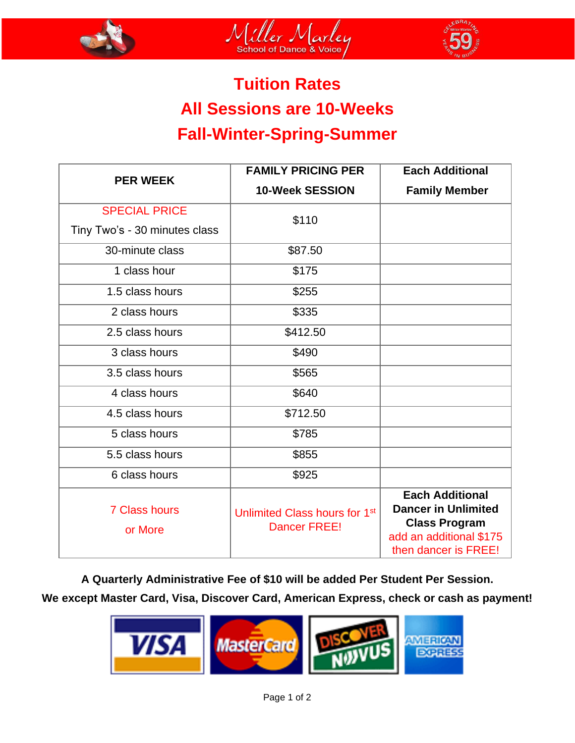





# **Tuition Rates All Sessions are 10-Weeks Fall-Winter-Spring-Summer**

| <b>PER WEEK</b>                 | <b>FAMILY PRICING PER</b>                                        | <b>Each Additional</b>                                                                                                          |
|---------------------------------|------------------------------------------------------------------|---------------------------------------------------------------------------------------------------------------------------------|
|                                 | <b>10-Week SESSION</b>                                           | <b>Family Member</b>                                                                                                            |
| <b>SPECIAL PRICE</b>            | \$110                                                            |                                                                                                                                 |
| Tiny Two's - 30 minutes class   |                                                                  |                                                                                                                                 |
| 30-minute class                 | \$87.50                                                          |                                                                                                                                 |
| 1 class hour                    | \$175                                                            |                                                                                                                                 |
| 1.5 class hours                 | \$255                                                            |                                                                                                                                 |
| 2 class hours                   | \$335                                                            |                                                                                                                                 |
| 2.5 class hours                 | \$412.50                                                         |                                                                                                                                 |
| 3 class hours                   | \$490                                                            |                                                                                                                                 |
| 3.5 class hours                 | \$565                                                            |                                                                                                                                 |
| 4 class hours                   | \$640                                                            |                                                                                                                                 |
| 4.5 class hours                 | \$712.50                                                         |                                                                                                                                 |
| 5 class hours                   | \$785                                                            |                                                                                                                                 |
| 5.5 class hours                 | \$855                                                            |                                                                                                                                 |
| 6 class hours                   | \$925                                                            |                                                                                                                                 |
| <b>7 Class hours</b><br>or More | Unlimited Class hours for 1 <sup>st</sup><br><b>Dancer FREE!</b> | <b>Each Additional</b><br><b>Dancer in Unlimited</b><br><b>Class Program</b><br>add an additional \$175<br>then dancer is FREE! |

**A Quarterly Administrative Fee of \$10 will be added Per Student Per Session. We except Master Card, Visa, Discover Card, American Express, check or cash as payment!**